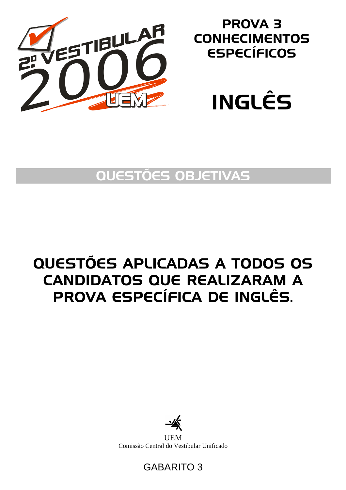

## PROVA 3 **CONHECIMENTOS** ESPECÍFICOS



## QUESTÕES OBJETIVAS

# QUESTÕES APLICADAS A TODOS OS CANDIDATOS QUE REALIZARAM A PROVA ESPECÍFICA DE INGLÊS.



**UEM** Comissão Central do Vestibular Unificado

### GABARITO 3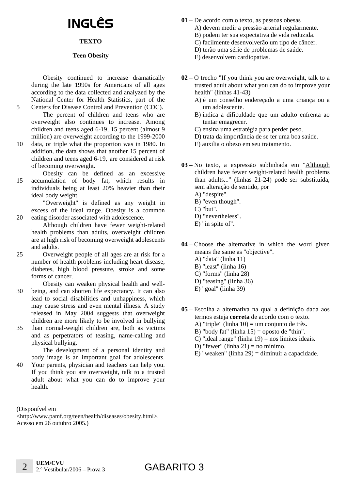# INGLÊS

### **TEXTO**

#### **Teen Obesity**

Obesity continued to increase dramatically during the late 1990s for Americans of all ages according to the data collected and analyzed by the National Center for Health Statistics, part of the Centers for Disease Control and Prevention (CDC).

The percent of children and teens who are overweight also continues to increase. Among children and teens aged 6-19, 15 percent (almost 9 million) are overweight according to the 1999-2000

- 10 data, or triple what the proportion was in 1980. In addition, the data shows that another 15 percent of children and teens aged 6-19, are considered at risk of becoming overweight.
- 15 Obesity can be defined as an excessive accumulation of body fat, which results in individuals being at least 20% heavier than their ideal body weight.

"Overweight" is defined as any weight in excess of the ideal range. Obesity is a common eating disorder associated with adolescence.

Although children have fewer weight-related health problems than adults, overweight children are at high risk of becoming overweight adolescents and adults.

- 25 Overweight people of all ages are at risk for a number of health problems including heart disease, diabetes, high blood pressure, stroke and some forms of cancer.
- 30 Obesity can weaken physical health and wellbeing, and can shorten life expectancy. It can also lead to social disabilities and unhappiness, which may cause stress and even mental illness. A study released in May 2004 suggests that overweight children are more likely to be involved in bullying
- 35 than normal-weight children are, both as victims and as perpetrators of teasing, name-calling and physical bullying.

The development of a personal identity and body image is an important goal for adolescents.

40 Your parents, physician and teachers can help you. If you think you are overweight, talk to a trusted adult about what you can do to improve your health.

(Disponível em

5

20

<http://www.pamf.org/teen/health/diseases/obesity.html>. Acesso em 26 outubro 2005.)

- **01** De acordo com o texto, as pessoas obesas A) devem medir a pressão arterial regularmente. B) podem ter sua expectativa de vida reduzida.
	- C) facilmente desenvolverão um tipo de câncer.
	- D) terão uma série de problemas de saúde.
	- E) desenvolvem cardiopatias.
- **02** O trecho "If you think you are overweight, talk to a trusted adult about what you can do to improve your health" (linhas 41-43)
	- A) é um conselho endereçado a uma criança ou a um adolescente.
	- B) indica a dificuldade que um adulto enfrenta ao tentar emagrecer.
	- C) ensina uma estratégia para perder peso.
	- D) trata da importância de se ter uma boa saúde.
	- E) auxilia o obeso em seu tratamento.
- **03** No texto, a expressão sublinhada em "Although children have fewer weight-related health problems than adults..." (linhas 21-24) pode ser substituída, sem alteração de sentido, por
	- A) "despite".
	- B) "even though".
	- C) "but".
	- D) "nevertheless".
	- E) "in spite of".

**04** – Choose the alternative in which the word given means the same as "objective". A) "data" (linha 11)

- 
- B) "least" (linha 16)
- C) "forms" (linha 28) D) "teasing" (linha 36)
- E) "goal" (linha 39)
- **05** Escolha a alternativa na qual a definição dada aos termos esteja **correta** de acordo com o texto. A) "triple" (linha 10) = um conjunto de três.
	- B) "body fat" (linha  $15$ ) = oposto de "thin".
	- C) "ideal range" (linha  $19$ ) = nos limites ideais.
	- D) "fewer" (linha  $21$ ) = no mínimo.
	- E) "weaken" (linha 29) = diminuir a capacidade.